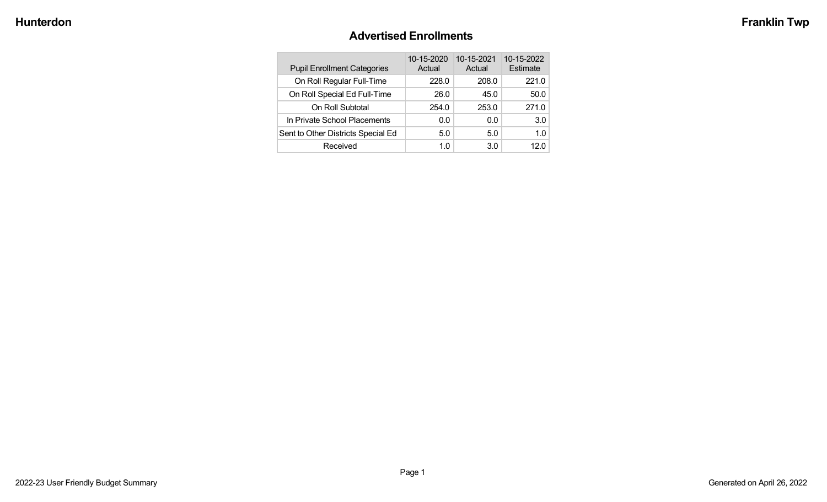# **Advertised Enrollments**

| <b>Pupil Enrollment Categories</b> | 10-15-2020<br>Actual | 10-15-2021<br>Actual | 10-15-2022<br>Estimate |
|------------------------------------|----------------------|----------------------|------------------------|
| On Roll Regular Full-Time          | 228.0                | 208.0                | 221.0                  |
| On Roll Special Ed Full-Time       | 26.0                 | 45.0                 | 50.0                   |
| On Roll Subtotal                   | 254.0                | 253.0                | 271.0                  |
| In Private School Placements       | 0.0                  | 0.0                  | 3.0                    |
| Sent to Other Districts Special Ed | 5.0                  | 5.0                  | 1.0                    |
| Received                           | 1.0                  | 3.0                  | 12 O                   |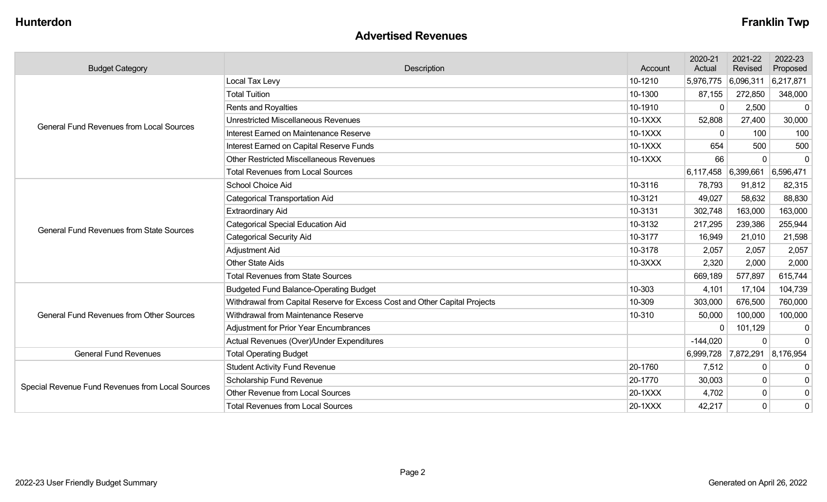#### **Advertised Revenues**

| <b>Budget Category</b>                           | Description                                                                | Account | 2020-21<br>Actual | 2021-22<br>Revised                  | 2022-23<br>Proposed |
|--------------------------------------------------|----------------------------------------------------------------------------|---------|-------------------|-------------------------------------|---------------------|
|                                                  | Local Tax Levy                                                             | 10-1210 | 5,976,775         | 6,096,311                           | 6,217,871           |
|                                                  | <b>Total Tuition</b>                                                       | 10-1300 | 87,155            | 272,850                             | 348,000             |
|                                                  | <b>Rents and Royalties</b>                                                 | 10-1910 | $\overline{0}$    | 2,500                               | $\mathbf 0$         |
| <b>General Fund Revenues from Local Sources</b>  | <b>Unrestricted Miscellaneous Revenues</b>                                 | 10-1XXX | 52,808            | 27,400                              | 30,000              |
|                                                  | Interest Earned on Maintenance Reserve                                     | 10-1XXX | 0                 | 100                                 | 100                 |
|                                                  | Interest Earned on Capital Reserve Funds                                   | 10-1XXX | 654               | 500                                 | 500                 |
|                                                  | <b>Other Restricted Miscellaneous Revenues</b>                             | 10-1XXX | 66                | $\mathbf 0$                         | $\mathbf 0$         |
|                                                  | <b>Total Revenues from Local Sources</b>                                   |         |                   | $6,117,458$ $6,399,661$ $6,596,471$ |                     |
|                                                  | School Choice Aid                                                          | 10-3116 | 78,793            | 91,812                              | 82,315              |
|                                                  | <b>Categorical Transportation Aid</b>                                      | 10-3121 | 49,027            | 58,632                              | 88,830              |
|                                                  | <b>Extraordinary Aid</b>                                                   | 10-3131 | 302,748           | 163,000                             | 163,000             |
| <b>General Fund Revenues from State Sources</b>  | <b>Categorical Special Education Aid</b>                                   | 10-3132 | 217,295           | 239,386                             | 255,944             |
|                                                  | <b>Categorical Security Aid</b>                                            | 10-3177 | 16,949            | 21,010                              | 21,598              |
|                                                  | Adjustment Aid                                                             | 10-3178 | 2,057             | 2,057                               | 2,057               |
|                                                  | <b>Other State Aids</b>                                                    | 10-3XXX | 2,320             | 2,000                               | 2,000               |
|                                                  | <b>Total Revenues from State Sources</b>                                   |         | 669,189           | 577,897                             | 615,744             |
|                                                  | <b>Budgeted Fund Balance-Operating Budget</b>                              | 10-303  | 4,101             | 17,104                              | 104,739             |
|                                                  | Withdrawal from Capital Reserve for Excess Cost and Other Capital Projects | 10-309  | 303,000           | 676,500                             | 760,000             |
| <b>General Fund Revenues from Other Sources</b>  | Withdrawal from Maintenance Reserve                                        | 10-310  | 50,000            | 100,000                             | 100,000             |
|                                                  | Adjustment for Prior Year Encumbrances                                     |         | $\Omega$          | 101,129                             | $\mathbf 0$         |
|                                                  | Actual Revenues (Over)/Under Expenditures                                  |         | $-144,020$        | $\mathbf 0$                         | $\Omega$            |
| <b>General Fund Revenues</b>                     | <b>Total Operating Budget</b>                                              |         |                   | 6,999,728 7,872,291 8,176,954       |                     |
|                                                  | <b>Student Activity Fund Revenue</b>                                       | 20-1760 | 7,512             | 0                                   | 0                   |
| Special Revenue Fund Revenues from Local Sources | Scholarship Fund Revenue                                                   | 20-1770 | 30,003            | $\mathbf 0$                         | $\mathbf 0$         |
|                                                  | <b>Other Revenue from Local Sources</b>                                    | 20-1XXX | 4,702             | $\pmb{0}$                           | $\mathbf 0$         |
|                                                  | <b>Total Revenues from Local Sources</b>                                   | 20-1XXX | 42,217            | $\mathbf 0$                         | 0                   |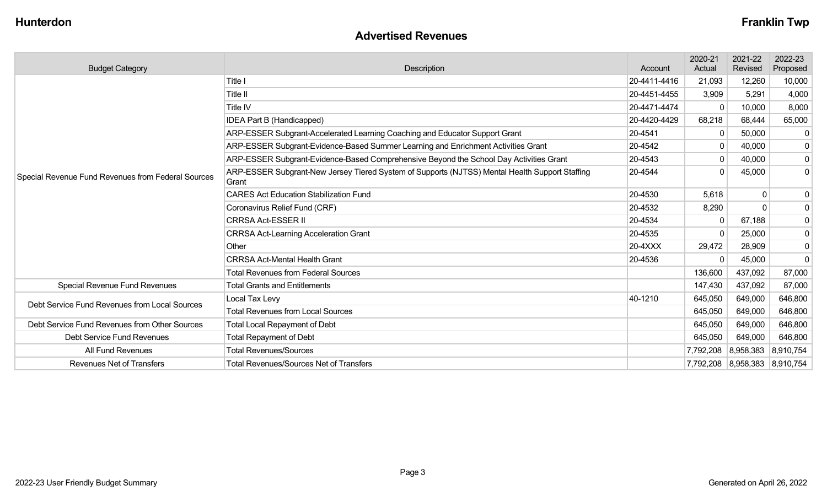### **Advertised Revenues**

| <b>Budget Category</b>                                              | Description                                                                                                        | Account      | 2020-21<br>Actual | 2021-22<br>Revised            | 2022-23<br>Proposed |
|---------------------------------------------------------------------|--------------------------------------------------------------------------------------------------------------------|--------------|-------------------|-------------------------------|---------------------|
|                                                                     | Title I                                                                                                            | 20-4411-4416 | 21,093            | 12,260                        | 10,000              |
|                                                                     | Title II                                                                                                           | 20-4451-4455 | 3,909             | 5,291                         | 4,000               |
|                                                                     | Title IV                                                                                                           | 20-4471-4474 | $\mathbf{0}$      | 10,000                        | 8,000               |
|                                                                     | IDEA Part B (Handicapped)                                                                                          | 20-4420-4429 | 68,218            | 68,444                        | 65,000              |
|                                                                     | ARP-ESSER Subgrant-Accelerated Learning Coaching and Educator Support Grant                                        | 20-4541      | 0                 | 50,000                        | $\mathbf{0}$        |
|                                                                     | ARP-ESSER Subgrant-Evidence-Based Summer Learning and Enrichment Activities Grant                                  | 20-4542      | 0                 | 40,000                        | 0                   |
|                                                                     | ARP-ESSER Subgrant-Evidence-Based Comprehensive Beyond the School Day Activities Grant                             | 20-4543      | $\mathbf{0}$      | 40,000                        | 0                   |
| Special Revenue Fund Revenues from Federal Sources                  | ARP-ESSER Subgrant-New Jersey Tiered System of Supports (NJTSS) Mental Health Support Staffing<br>20-4544<br>Grant |              | $\mathbf 0$       | 45,000                        | 0 <sup>1</sup>      |
|                                                                     | <b>CARES Act Education Stabilization Fund</b>                                                                      | 20-4530      | 5,618             | 0                             | $\overline{0}$      |
|                                                                     | Coronavirus Relief Fund (CRF)                                                                                      | 20-4532      | 8,290             | $\mathbf{0}$                  | 0                   |
|                                                                     | <b>CRRSA Act-ESSER II</b>                                                                                          | 20-4534      | 0                 | 67,188                        | 0                   |
|                                                                     | <b>CRRSA Act-Learning Acceleration Grant</b>                                                                       | 20-4535      | $\mathbf 0$       | 25,000                        | 0                   |
|                                                                     | Other                                                                                                              | 20-4XXX      | 29,472            | 28,909                        | $\pmb{0}$           |
|                                                                     | <b>CRRSA Act-Mental Health Grant</b>                                                                               | 20-4536      | $\Omega$          | 45,000                        | $\overline{0}$      |
|                                                                     | <b>Total Revenues from Federal Sources</b>                                                                         |              | 136,600           | 437,092                       | 87,000              |
| Special Revenue Fund Revenues                                       | <b>Total Grants and Entitlements</b>                                                                               |              | 147,430           | 437,092                       | 87,000              |
| Debt Service Fund Revenues from Local Sources                       | Local Tax Levy                                                                                                     | 40-1210      | 645,050           | 649,000                       | 646,800             |
|                                                                     | <b>Total Revenues from Local Sources</b>                                                                           |              | 645,050           | 649,000                       | 646,800             |
| Debt Service Fund Revenues from Other Sources                       | <b>Total Local Repayment of Debt</b>                                                                               |              | 645,050           | 649,000                       | 646,800             |
| <b>Debt Service Fund Revenues</b><br><b>Total Repayment of Debt</b> |                                                                                                                    |              | 645,050           | 649,000                       | 646,800             |
| All Fund Revenues                                                   | <b>Total Revenues/Sources</b>                                                                                      |              | 7,792,208         | 8,958,383                     | 8,910,754           |
| <b>Revenues Net of Transfers</b>                                    | <b>Total Revenues/Sources Net of Transfers</b>                                                                     |              |                   | 7,792,208 8,958,383 8,910,754 |                     |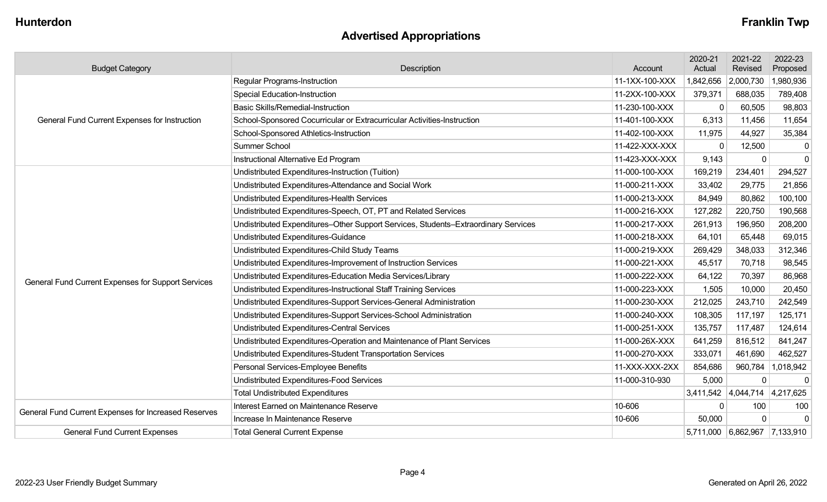# **Advertised Appropriations**

| <b>Budget Category</b>                               | Description                                                                        | Account        | 2020-21<br>Actual | 2021-22<br>Revised            | 2022-23<br>Proposed |
|------------------------------------------------------|------------------------------------------------------------------------------------|----------------|-------------------|-------------------------------|---------------------|
|                                                      | <b>Regular Programs-Instruction</b>                                                | 11-1XX-100-XXX | 1,842,656         | 2,000,730                     | 1,980,936           |
|                                                      | <b>Special Education-Instruction</b>                                               | 11-2XX-100-XXX | 379,371           | 688,035                       | 789,408             |
|                                                      | <b>Basic Skills/Remedial-Instruction</b>                                           | 11-230-100-XXX | $\mathbf 0$       | 60,505                        | 98,803              |
| General Fund Current Expenses for Instruction        | School-Sponsored Cocurricular or Extracurricular Activities-Instruction            | 11-401-100-XXX | 6,313             | 11,456                        | 11,654              |
|                                                      | School-Sponsored Athletics-Instruction                                             | 11-402-100-XXX | 11,975            | 44,927                        | 35,384              |
|                                                      | <b>Summer School</b>                                                               | 11-422-XXX-XXX | $\mathbf 0$       | 12,500                        | $\mathbf 0$         |
|                                                      | Instructional Alternative Ed Program                                               | 11-423-XXX-XXX | 9,143             | $\mathbf 0$                   | $\mathbf 0$         |
|                                                      | Undistributed Expenditures-Instruction (Tuition)                                   | 11-000-100-XXX | 169,219           | 234,401                       | 294,527             |
|                                                      | Undistributed Expenditures-Attendance and Social Work                              | 11-000-211-XXX | 33,402            | 29,775                        | 21,856              |
|                                                      | Undistributed Expenditures-Health Services                                         | 11-000-213-XXX | 84,949            | 80,862                        | 100,100             |
|                                                      | Undistributed Expenditures-Speech, OT, PT and Related Services                     | 11-000-216-XXX | 127,282           | 220,750                       | 190,568             |
|                                                      | Undistributed Expenditures-Other Support Services, Students-Extraordinary Services | 11-000-217-XXX | 261,913           | 196,950                       | 208,200             |
|                                                      | Undistributed Expenditures-Guidance                                                | 11-000-218-XXX | 64,101            | 65,448                        | 69,015              |
|                                                      | Undistributed Expenditures-Child Study Teams                                       | 11-000-219-XXX | 269,429           | 348,033                       | 312,346             |
|                                                      | Undistributed Expenditures-Improvement of Instruction Services                     | 11-000-221-XXX | 45,517            | 70,718                        | 98,545              |
| General Fund Current Expenses for Support Services   | Undistributed Expenditures-Education Media Services/Library                        | 11-000-222-XXX | 64,122            | 70,397                        | 86,968              |
|                                                      | Undistributed Expenditures-Instructional Staff Training Services                   | 11-000-223-XXX | 1,505             | 10,000                        | 20,450              |
|                                                      | Undistributed Expenditures-Support Services-General Administration                 | 11-000-230-XXX | 212,025           | 243,710                       | 242,549             |
|                                                      | Undistributed Expenditures-Support Services-School Administration                  | 11-000-240-XXX | 108,305           | 117,197                       | 125,171             |
|                                                      | Undistributed Expenditures-Central Services                                        | 11-000-251-XXX | 135,757           | 117,487                       | 124,614             |
|                                                      | Undistributed Expenditures-Operation and Maintenance of Plant Services             | 11-000-26X-XXX | 641,259           | 816,512                       | 841,247             |
|                                                      | Undistributed Expenditures-Student Transportation Services                         | 11-000-270-XXX | 333,071           | 461,690                       | 462,527             |
|                                                      | Personal Services-Employee Benefits                                                | 11-XXX-XXX-2XX | 854,686           |                               | 960,784   1,018,942 |
|                                                      | Undistributed Expenditures-Food Services                                           | 11-000-310-930 | 5,000             | $\mathbf 0$                   | $\mathbf 0$         |
|                                                      | <b>Total Undistributed Expenditures</b>                                            |                |                   | 3,411,542 4,044,714 4,217,625 |                     |
| General Fund Current Expenses for Increased Reserves | Interest Earned on Maintenance Reserve                                             | 10-606         | $\mathbf 0$       | 100                           | 100                 |
|                                                      | Increase In Maintenance Reserve                                                    | 10-606         | 50,000            | $\Omega$                      | $\Omega$            |
| <b>General Fund Current Expenses</b>                 | <b>Total General Current Expense</b>                                               |                |                   | 5,711,000 6,862,967 7,133,910 |                     |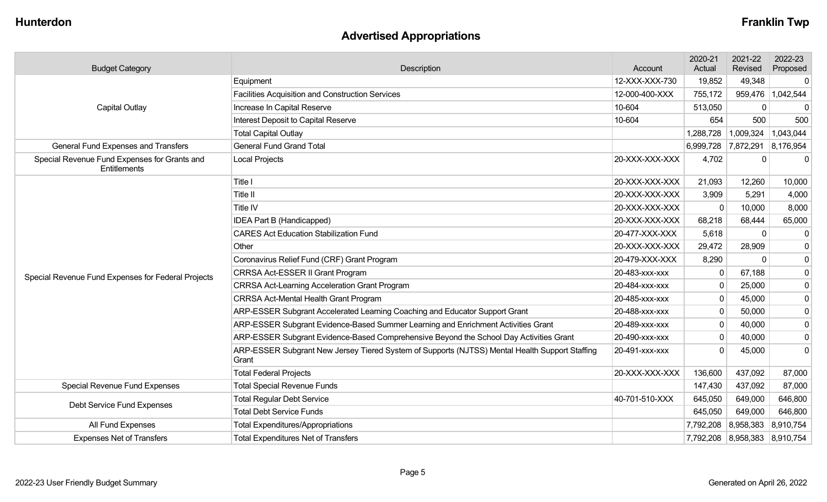# **Advertised Appropriations**

| <b>Budget Category</b>                                       | <b>Description</b>                                                                                      | Account        | 2020-21<br>Actual | 2021-22<br>Revised            | 2022-23<br>Proposed |
|--------------------------------------------------------------|---------------------------------------------------------------------------------------------------------|----------------|-------------------|-------------------------------|---------------------|
|                                                              | Equipment                                                                                               | 12-XXX-XXX-730 | 19,852            | 49,348                        | 0                   |
|                                                              | Facilities Acquisition and Construction Services                                                        | 12-000-400-XXX | 755,172           |                               | 959,476   1,042,544 |
| Capital Outlay                                               | Increase In Capital Reserve                                                                             | 10-604         | 513,050           | 0                             | $\mathbf 0$         |
|                                                              | Interest Deposit to Capital Reserve                                                                     | 10-604         | 654               | 500                           | 500                 |
|                                                              | <b>Total Capital Outlay</b>                                                                             |                | 1,288,728         | 1,009,324                     | 1,043,044           |
| General Fund Expenses and Transfers                          | <b>General Fund Grand Total</b>                                                                         |                | 6,999,728         | 7,872,291 8,176,954           |                     |
| Special Revenue Fund Expenses for Grants and<br>Entitlements | <b>Local Projects</b>                                                                                   | 20-XXX-XXX-XXX | 4,702             | 0                             | $\mathbf 0$         |
|                                                              | Title I                                                                                                 | 20-XXX-XXX-XXX | 21,093            | 12,260                        | 10,000              |
|                                                              | Title II                                                                                                | 20-XXX-XXX-XXX | 3,909             | 5,291                         | 4,000               |
|                                                              | Title IV                                                                                                | 20-XXX-XXX-XXX | $\mathbf 0$       | 10,000                        | 8,000               |
|                                                              | <b>IDEA Part B (Handicapped)</b>                                                                        | 20-XXX-XXX-XXX | 68,218            | 68,444                        | 65,000              |
|                                                              | <b>CARES Act Education Stabilization Fund</b>                                                           | 20-477-XXX-XXX | 5,618             | 0                             | $\mathbf 0$         |
|                                                              | Other                                                                                                   | 20-XXX-XXX-XXX | 29,472            | 28,909                        | $\mathbf 0$         |
|                                                              | Coronavirus Relief Fund (CRF) Grant Program                                                             | 20-479-XXX-XXX | 8,290             | $\mathbf 0$                   | $\pmb{0}$           |
| Special Revenue Fund Expenses for Federal Projects           | CRRSA Act-ESSER II Grant Program                                                                        | 20-483-XXX-XXX | 0                 | 67,188                        | $\boldsymbol{0}$    |
|                                                              | <b>CRRSA Act-Learning Acceleration Grant Program</b>                                                    | 20-484-XXX-XXX | $\mathbf 0$       | 25,000                        | $\mathbf 0$         |
|                                                              | <b>CRRSA Act-Mental Health Grant Program</b>                                                            | 20-485-xxx-xxx | $\mathbf 0$       | 45,000                        | $\boldsymbol{0}$    |
|                                                              | ARP-ESSER Subgrant Accelerated Learning Coaching and Educator Support Grant                             | 20-488-XXX-XXX | $\mathbf 0$       | 50,000                        | $\pmb{0}$           |
|                                                              | ARP-ESSER Subgrant Evidence-Based Summer Learning and Enrichment Activities Grant                       | 20-489-xxx-xxx | $\mathbf 0$       | 40,000                        | $\pmb{0}$           |
|                                                              | ARP-ESSER Subgrant Evidence-Based Comprehensive Beyond the School Day Activities Grant                  | 20-490-XXX-XXX | $\mathbf 0$       | 40,000                        | $\mathbf 0$         |
|                                                              | ARP-ESSER Subgrant New Jersey Tiered System of Supports (NJTSS) Mental Health Support Staffing<br>Grant | 20-491-XXX-XXX | $\mathbf 0$       | 45,000                        | $\mathbf 0$         |
|                                                              | <b>Total Federal Projects</b>                                                                           | 20-XXX-XXX-XXX | 136,600           | 437,092                       | 87,000              |
| <b>Special Revenue Fund Expenses</b>                         | <b>Total Special Revenue Funds</b>                                                                      |                | 147,430           | 437,092                       | 87,000              |
| Debt Service Fund Expenses                                   | <b>Total Regular Debt Service</b>                                                                       | 40-701-510-XXX | 645,050           | 649,000                       | 646,800             |
|                                                              | <b>Total Debt Service Funds</b>                                                                         |                | 645,050           | 649,000                       | 646,800             |
| All Fund Expenses                                            | <b>Total Expenditures/Appropriations</b>                                                                |                | 7,792,208         | 8,958,383 8,910,754           |                     |
| <b>Expenses Net of Transfers</b>                             | <b>Total Expenditures Net of Transfers</b>                                                              |                |                   | 7,792,208 8,958,383 8,910,754 |                     |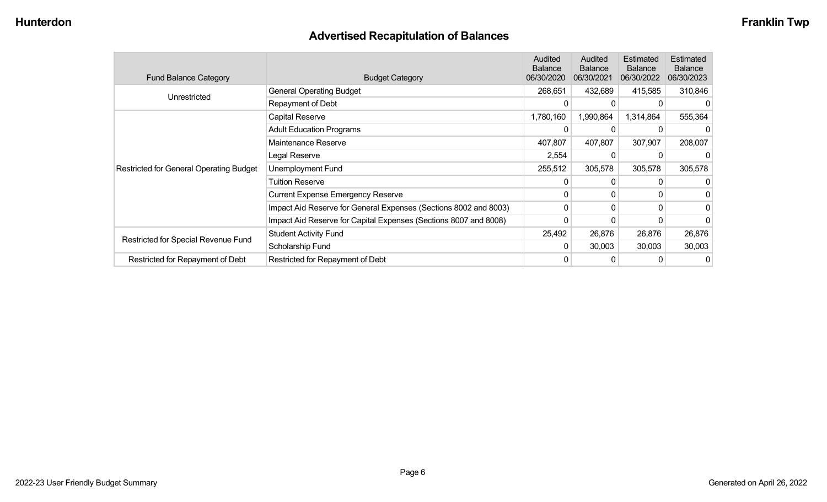# **Advertised Recapitulation of Balances**

| <b>Fund Balance Category</b>                   | <b>Budget Category</b>                                           | Audited<br><b>Balance</b><br>06/30/2020 | Audited<br><b>Balance</b><br>06/30/2021 | Estimated<br><b>Balance</b><br>06/30/2022 | Estimated<br><b>Balance</b><br>06/30/2023 |
|------------------------------------------------|------------------------------------------------------------------|-----------------------------------------|-----------------------------------------|-------------------------------------------|-------------------------------------------|
| Unrestricted                                   | <b>General Operating Budget</b>                                  | 268,651                                 | 432,689                                 | 415,585                                   | 310,846                                   |
|                                                | Repayment of Debt                                                | 0                                       | 0                                       |                                           |                                           |
|                                                | Capital Reserve                                                  | 1,780,160                               | 1,990,864                               | 1,314,864                                 | 555,364                                   |
|                                                | <b>Adult Education Programs</b>                                  | 0                                       | 0                                       |                                           |                                           |
|                                                | Maintenance Reserve                                              | 407,807                                 | 407,807                                 | 307,907                                   | 208,007                                   |
|                                                | Legal Reserve                                                    | 2,554                                   | $\Omega$                                |                                           |                                           |
| <b>Restricted for General Operating Budget</b> | Unemployment Fund                                                | 255,512                                 | 305,578                                 | 305,578                                   | 305,578                                   |
|                                                | Tuition Reserve                                                  | 0                                       | $\Omega$                                | 0                                         |                                           |
|                                                | <b>Current Expense Emergency Reserve</b>                         | 0                                       | $\mathbf{0}$                            | 0                                         |                                           |
|                                                | Impact Aid Reserve for General Expenses (Sections 8002 and 8003) | 0                                       | 0                                       | $\Omega$                                  |                                           |
|                                                | Impact Aid Reserve for Capital Expenses (Sections 8007 and 8008) | 0                                       | 0                                       |                                           |                                           |
|                                                | <b>Student Activity Fund</b>                                     | 25,492                                  | 26,876                                  | 26,876                                    | 26,876                                    |
| Restricted for Special Revenue Fund            | Scholarship Fund                                                 | $\Omega$                                | 30,003                                  | 30,003                                    | 30,003                                    |
| Restricted for Repayment of Debt               | Restricted for Repayment of Debt                                 | 0                                       | 0                                       |                                           |                                           |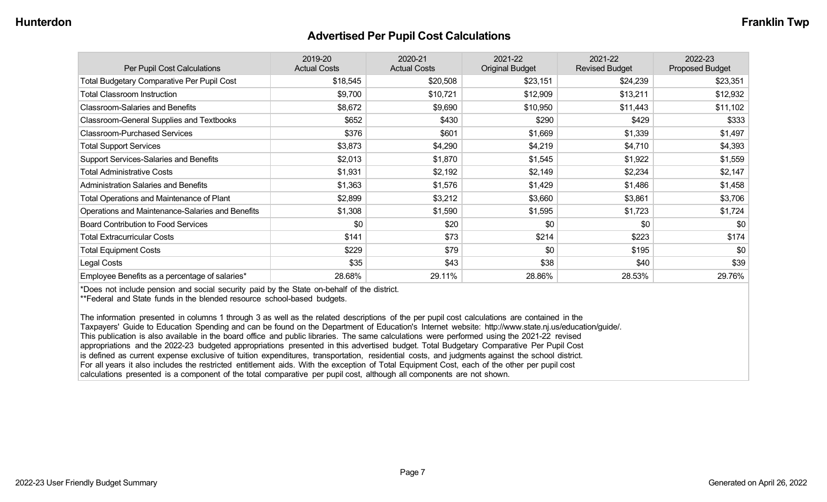#### **Advertised Per Pupil Cost Calculations**

| Per Pupil Cost Calculations                       | 2019-20<br><b>Actual Costs</b> | 2020-21<br><b>Actual Costs</b> | 2021-22<br><b>Original Budget</b> | 2021-22<br><b>Revised Budget</b> | 2022-23<br><b>Proposed Budget</b> |
|---------------------------------------------------|--------------------------------|--------------------------------|-----------------------------------|----------------------------------|-----------------------------------|
| <b>Total Budgetary Comparative Per Pupil Cost</b> | \$18,545                       | \$20,508                       | \$23,151                          | \$24,239                         | \$23,351                          |
| <b>Total Classroom Instruction</b>                | \$9,700                        | \$10,721                       | \$12,909                          | \$13,211                         | \$12,932                          |
| <b>Classroom-Salaries and Benefits</b>            | \$8,672                        | \$9,690                        | \$10,950                          | \$11,443                         | \$11,102                          |
| Classroom-General Supplies and Textbooks          | \$652                          | \$430                          | \$290                             | \$429                            | \$333                             |
| <b>Classroom-Purchased Services</b>               | \$376                          | \$601                          | \$1,669                           | \$1,339                          | \$1,497                           |
| <b>Total Support Services</b>                     | \$3,873                        | \$4,290                        | \$4,219                           | \$4,710                          | \$4,393                           |
| Support Services-Salaries and Benefits            | \$2,013                        | \$1,870                        | \$1,545                           | \$1,922                          | \$1,559                           |
| <b>Total Administrative Costs</b>                 | \$1,931                        | \$2,192                        | \$2,149                           | \$2,234                          | \$2,147                           |
| <b>Administration Salaries and Benefits</b>       | \$1,363                        | \$1,576                        | \$1,429                           | \$1,486                          | \$1,458                           |
| Total Operations and Maintenance of Plant         | \$2,899                        | \$3,212                        | \$3,660                           | \$3,861                          | \$3,706                           |
| Operations and Maintenance-Salaries and Benefits  | \$1,308                        | \$1,590                        | \$1,595                           | \$1,723                          | \$1,724                           |
| <b>Board Contribution to Food Services</b>        | \$0                            | \$20                           | \$0                               | \$0                              | \$0                               |
| <b>Total Extracurricular Costs</b>                | \$141                          | \$73                           | \$214                             | \$223                            | \$174                             |
| <b>Total Equipment Costs</b>                      | \$229                          | \$79                           | \$0                               | \$195                            | \$0                               |
| Legal Costs                                       | \$35                           | \$43                           | \$38                              | \$40                             | \$39                              |
| Employee Benefits as a percentage of salaries*    | 28.68%                         | 29.11%                         | 28.86%                            | 28.53%                           | 29.76%                            |

\*Does not include pension and social security paid by the State on-behalf of the district.

\*\*Federal and State funds in the blended resource school-based budgets.

The information presented in columns 1 through 3 as well as the related descriptions of the per pupil cost calculations are contained in the Taxpayers' Guide to Education Spending and can be found on the Department of Education's Internet website: http://www.state.nj.us/education/guide/. This publication is also available in the board office and public libraries. The same calculations were performed using the 2021-22 revised appropriations and the 2022-23 budgeted appropriations presented in this advertised budget. Total Budgetary Comparative Per Pupil Cost is defined as current expense exclusive of tuition expenditures, transportation, residential costs, and judgments against the school district. For all years it also includes the restricted entitlement aids. With the exception of Total Equipment Cost, each of the other per pupil cost calculations presented is a component of the total comparative per pupil cost, although all components are not shown.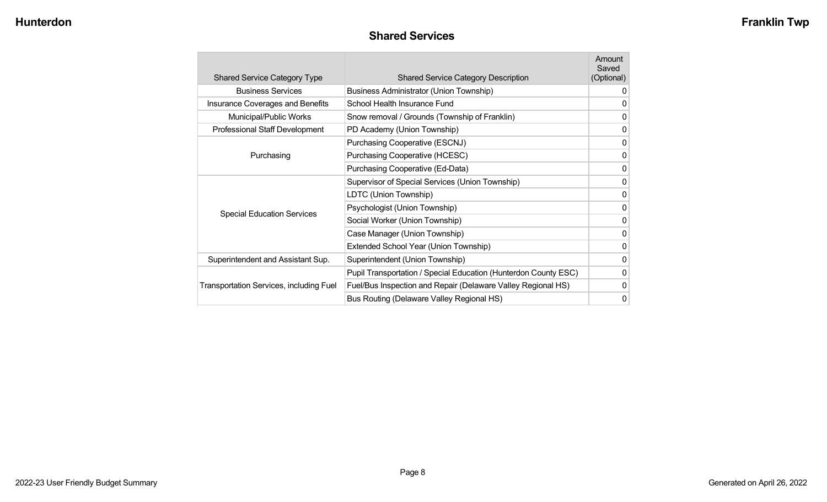### **Shared Services**

| <b>Shared Service Category Type</b>            | <b>Shared Service Category Description</b>                      | Amount<br>Saved<br>(Optional) |
|------------------------------------------------|-----------------------------------------------------------------|-------------------------------|
| <b>Business Services</b>                       | Business Administrator (Union Township)                         | 0                             |
| <b>Insurance Coverages and Benefits</b>        | School Health Insurance Fund                                    | $\mathbf 0$                   |
| Municipal/Public Works                         | Snow removal / Grounds (Township of Franklin)                   | 0                             |
| Professional Staff Development                 | PD Academy (Union Township)                                     | 0                             |
|                                                | Purchasing Cooperative (ESCNJ)                                  | $\mathbf 0$                   |
| Purchasing                                     | Purchasing Cooperative (HCESC)                                  | $\mathbf 0$                   |
|                                                | Purchasing Cooperative (Ed-Data)                                | $\mathbf 0$                   |
|                                                | Supervisor of Special Services (Union Township)                 | $\mathbf 0$                   |
|                                                | LDTC (Union Township)                                           | $\mathbf 0$                   |
|                                                | Psychologist (Union Township)                                   | $\mathbf 0$                   |
| <b>Special Education Services</b>              | Social Worker (Union Township)                                  | $\mathbf 0$                   |
|                                                | Case Manager (Union Township)                                   | $\mathbf 0$                   |
|                                                | Extended School Year (Union Township)                           | $\mathbf 0$                   |
| Superintendent and Assistant Sup.              | Superintendent (Union Township)                                 | $\mathbf 0$                   |
|                                                | Pupil Transportation / Special Education (Hunterdon County ESC) | 0                             |
| <b>Transportation Services, including Fuel</b> | Fuel/Bus Inspection and Repair (Delaware Valley Regional HS)    | $\mathbf 0$                   |
|                                                | Bus Routing (Delaware Valley Regional HS)                       | 0                             |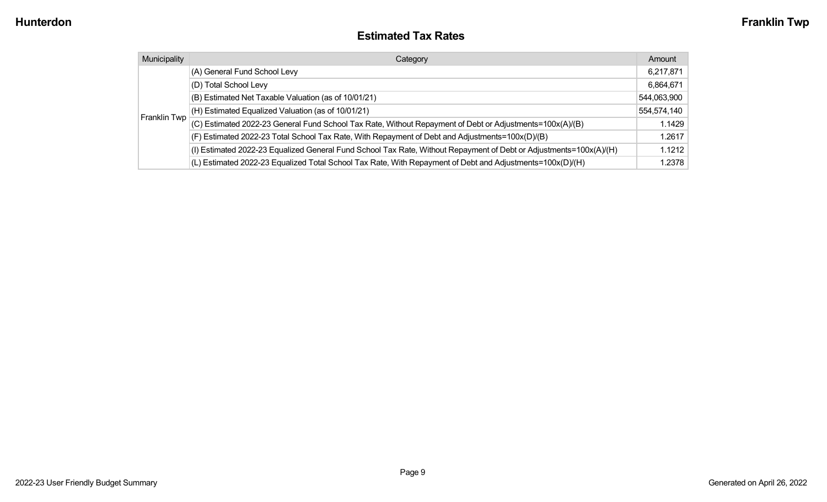#### **Estimated Tax Rates**

| Municipality | Category                                                                                                           | Amount      |
|--------------|--------------------------------------------------------------------------------------------------------------------|-------------|
|              | (A) General Fund School Levy                                                                                       | 6,217,871   |
|              | (D) Total School Levy                                                                                              | 6,864,671   |
|              | (B) Estimated Net Taxable Valuation (as of 10/01/21)                                                               | 544,063,900 |
|              | (H) Estimated Equalized Valuation (as of 10/01/21)                                                                 | 554,574,140 |
| Franklin Twp | (C) Estimated 2022-23 General Fund School Tax Rate, Without Repayment of Debt or Adjustments=100x(A)/(B)           | 1.1429      |
|              | (F) Estimated 2022-23 Total School Tax Rate, With Repayment of Debt and Adjustments=100x(D)/(B)                    | 1.2617      |
|              | (I) Estimated 2022-23 Equalized General Fund School Tax Rate, Without Repayment of Debt or Adjustments=100x(A)/(H) | 1.1212      |
|              | (L) Estimated 2022-23 Equalized Total School Tax Rate, With Repayment of Debt and Adjustments=100x(D)/(H)          | 1.2378      |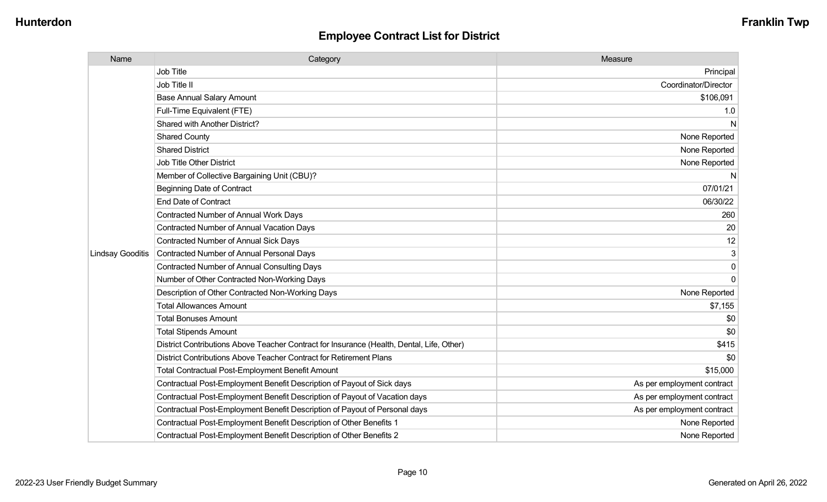| Name                    | Category                                                                                  | Measure                    |
|-------------------------|-------------------------------------------------------------------------------------------|----------------------------|
|                         | Job Title                                                                                 | Principal                  |
|                         | Job Title II                                                                              | Coordinator/Director       |
|                         | <b>Base Annual Salary Amount</b>                                                          | \$106,091                  |
|                         | Full-Time Equivalent (FTE)                                                                | 1.0                        |
|                         | Shared with Another District?                                                             | N                          |
|                         | <b>Shared County</b>                                                                      | None Reported              |
|                         | <b>Shared District</b>                                                                    | None Reported              |
|                         | Job Title Other District                                                                  | None Reported              |
|                         | Member of Collective Bargaining Unit (CBU)?                                               | N                          |
|                         | <b>Beginning Date of Contract</b>                                                         | 07/01/21                   |
|                         | <b>End Date of Contract</b>                                                               | 06/30/22                   |
|                         | Contracted Number of Annual Work Days                                                     | 260                        |
|                         | Contracted Number of Annual Vacation Days                                                 | 20                         |
|                         | <b>Contracted Number of Annual Sick Days</b>                                              | 12                         |
| <b>Lindsay Gooditis</b> | Contracted Number of Annual Personal Days                                                 | $\mathfrak{S}$             |
|                         | <b>Contracted Number of Annual Consulting Days</b>                                        | $\pmb{0}$                  |
|                         | Number of Other Contracted Non-Working Days                                               | $\overline{0}$             |
|                         | Description of Other Contracted Non-Working Days                                          | None Reported              |
|                         | <b>Total Allowances Amount</b>                                                            | \$7,155                    |
|                         | <b>Total Bonuses Amount</b>                                                               | \$0                        |
|                         | <b>Total Stipends Amount</b>                                                              | \$0                        |
|                         | District Contributions Above Teacher Contract for Insurance (Health, Dental, Life, Other) | \$415                      |
|                         | District Contributions Above Teacher Contract for Retirement Plans                        | \$0                        |
|                         | Total Contractual Post-Employment Benefit Amount                                          | \$15,000                   |
|                         | Contractual Post-Employment Benefit Description of Payout of Sick days                    | As per employment contract |
|                         | Contractual Post-Employment Benefit Description of Payout of Vacation days                | As per employment contract |
|                         | Contractual Post-Employment Benefit Description of Payout of Personal days                | As per employment contract |
|                         | Contractual Post-Employment Benefit Description of Other Benefits 1                       | None Reported              |
|                         | Contractual Post-Employment Benefit Description of Other Benefits 2                       | None Reported              |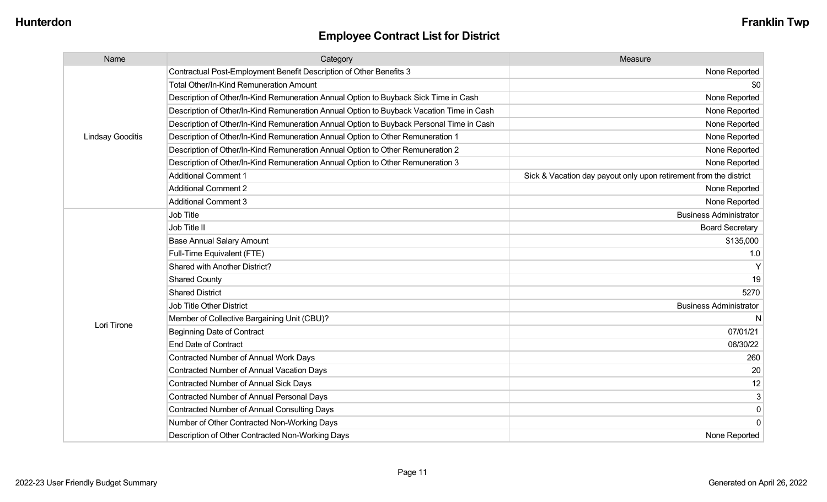| Name                    | Category                                                                                 | Measure                                                           |
|-------------------------|------------------------------------------------------------------------------------------|-------------------------------------------------------------------|
|                         | Contractual Post-Employment Benefit Description of Other Benefits 3                      | None Reported                                                     |
|                         | Total Other/In-Kind Remuneration Amount                                                  | \$0                                                               |
|                         | Description of Other/In-Kind Remuneration Annual Option to Buyback Sick Time in Cash     | None Reported                                                     |
|                         | Description of Other/In-Kind Remuneration Annual Option to Buyback Vacation Time in Cash | None Reported                                                     |
|                         | Description of Other/In-Kind Remuneration Annual Option to Buyback Personal Time in Cash | None Reported                                                     |
| <b>Lindsay Gooditis</b> | Description of Other/In-Kind Remuneration Annual Option to Other Remuneration 1          | None Reported                                                     |
|                         | Description of Other/In-Kind Remuneration Annual Option to Other Remuneration 2          | None Reported                                                     |
|                         | Description of Other/In-Kind Remuneration Annual Option to Other Remuneration 3          | None Reported                                                     |
|                         | <b>Additional Comment 1</b>                                                              | Sick & Vacation day payout only upon retirement from the district |
|                         | <b>Additional Comment 2</b>                                                              | None Reported                                                     |
|                         | <b>Additional Comment 3</b>                                                              | None Reported                                                     |
|                         | <b>Job Title</b>                                                                         | <b>Business Administrator</b>                                     |
|                         | Job Title II                                                                             | <b>Board Secretary</b>                                            |
|                         | <b>Base Annual Salary Amount</b>                                                         | \$135,000                                                         |
|                         | Full-Time Equivalent (FTE)                                                               | 1.0                                                               |
|                         | Shared with Another District?                                                            |                                                                   |
|                         | <b>Shared County</b>                                                                     | 19                                                                |
|                         | <b>Shared District</b>                                                                   | 5270                                                              |
|                         | <b>Job Title Other District</b>                                                          | <b>Business Administrator</b>                                     |
|                         | Member of Collective Bargaining Unit (CBU)?                                              |                                                                   |
| Lori Tirone             | <b>Beginning Date of Contract</b>                                                        | 07/01/21                                                          |
|                         | <b>End Date of Contract</b>                                                              | 06/30/22                                                          |
|                         | Contracted Number of Annual Work Days                                                    | 260                                                               |
|                         | <b>Contracted Number of Annual Vacation Days</b>                                         | 20                                                                |
|                         | <b>Contracted Number of Annual Sick Days</b>                                             | 12                                                                |
|                         | Contracted Number of Annual Personal Days                                                | 3                                                                 |
|                         | <b>Contracted Number of Annual Consulting Days</b>                                       | $\mathbf 0$                                                       |
|                         | Number of Other Contracted Non-Working Days                                              | $\Omega$                                                          |
|                         | Description of Other Contracted Non-Working Days                                         | None Reported                                                     |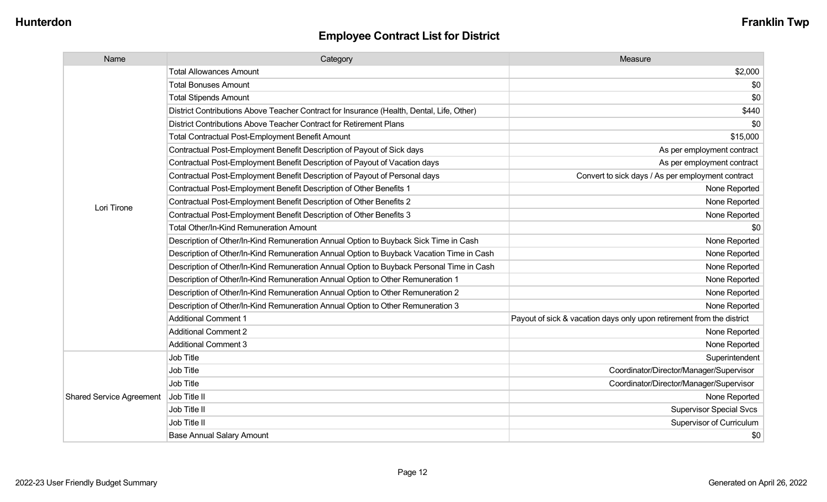| Name                            | Category                                                                                  | Measure                                                               |
|---------------------------------|-------------------------------------------------------------------------------------------|-----------------------------------------------------------------------|
|                                 | <b>Total Allowances Amount</b>                                                            | \$2,000                                                               |
|                                 | <b>Total Bonuses Amount</b>                                                               | \$0                                                                   |
|                                 | <b>Total Stipends Amount</b>                                                              | \$0                                                                   |
|                                 | District Contributions Above Teacher Contract for Insurance (Health, Dental, Life, Other) | \$440                                                                 |
|                                 | District Contributions Above Teacher Contract for Retirement Plans                        | \$0                                                                   |
|                                 | Total Contractual Post-Employment Benefit Amount                                          | \$15,000                                                              |
|                                 | Contractual Post-Employment Benefit Description of Payout of Sick days                    | As per employment contract                                            |
|                                 | Contractual Post-Employment Benefit Description of Payout of Vacation days                | As per employment contract                                            |
|                                 | Contractual Post-Employment Benefit Description of Payout of Personal days                | Convert to sick days / As per employment contract                     |
|                                 | Contractual Post-Employment Benefit Description of Other Benefits 1                       | None Reported                                                         |
| Lori Tirone                     | Contractual Post-Employment Benefit Description of Other Benefits 2                       | None Reported                                                         |
|                                 | Contractual Post-Employment Benefit Description of Other Benefits 3                       | None Reported                                                         |
|                                 | <b>Total Other/In-Kind Remuneration Amount</b>                                            | \$0                                                                   |
|                                 | Description of Other/In-Kind Remuneration Annual Option to Buyback Sick Time in Cash      | None Reported                                                         |
|                                 | Description of Other/In-Kind Remuneration Annual Option to Buyback Vacation Time in Cash  | None Reported                                                         |
|                                 | Description of Other/In-Kind Remuneration Annual Option to Buyback Personal Time in Cash  | None Reported                                                         |
|                                 | Description of Other/In-Kind Remuneration Annual Option to Other Remuneration 1           | None Reported                                                         |
|                                 | Description of Other/In-Kind Remuneration Annual Option to Other Remuneration 2           | None Reported                                                         |
|                                 | Description of Other/In-Kind Remuneration Annual Option to Other Remuneration 3           | None Reported                                                         |
|                                 | <b>Additional Comment 1</b>                                                               | Payout of sick & vacation days only upon retirement from the district |
|                                 | <b>Additional Comment 2</b>                                                               | None Reported                                                         |
|                                 | <b>Additional Comment 3</b>                                                               | None Reported                                                         |
|                                 | Job Title                                                                                 | Superintendent                                                        |
|                                 | Job Title                                                                                 | Coordinator/Director/Manager/Supervisor                               |
|                                 | Job Title                                                                                 | Coordinator/Director/Manager/Supervisor                               |
| <b>Shared Service Agreement</b> | Job Title II                                                                              | None Reported                                                         |
|                                 | Job Title II                                                                              | <b>Supervisor Special Svcs</b>                                        |
|                                 | Job Title II                                                                              | Supervisor of Curriculum                                              |
|                                 | <b>Base Annual Salary Amount</b>                                                          | \$0                                                                   |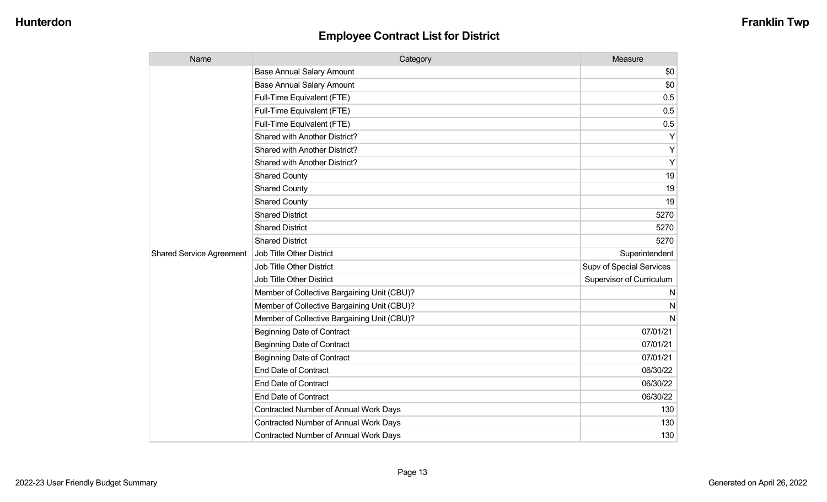| Name                            | Category                                    | Measure                  |
|---------------------------------|---------------------------------------------|--------------------------|
|                                 | <b>Base Annual Salary Amount</b>            | \$0                      |
|                                 | <b>Base Annual Salary Amount</b>            | \$0                      |
|                                 | Full-Time Equivalent (FTE)                  | 0.5                      |
|                                 | Full-Time Equivalent (FTE)                  | 0.5                      |
|                                 | Full-Time Equivalent (FTE)                  | 0.5                      |
|                                 | Shared with Another District?               | Υ                        |
|                                 | Shared with Another District?               | Υ                        |
|                                 | Shared with Another District?               | Υ                        |
|                                 | <b>Shared County</b>                        | 19                       |
|                                 | <b>Shared County</b>                        | 19                       |
|                                 | <b>Shared County</b>                        | 19                       |
|                                 | <b>Shared District</b>                      | 5270                     |
|                                 | <b>Shared District</b>                      | 5270                     |
|                                 | <b>Shared District</b>                      | 5270                     |
| <b>Shared Service Agreement</b> | Job Title Other District                    | Superintendent           |
|                                 | <b>Job Title Other District</b>             | Supv of Special Services |
|                                 | Job Title Other District                    | Supervisor of Curriculum |
|                                 | Member of Collective Bargaining Unit (CBU)? | N                        |
|                                 | Member of Collective Bargaining Unit (CBU)? | N                        |
|                                 | Member of Collective Bargaining Unit (CBU)? | N                        |
|                                 | <b>Beginning Date of Contract</b>           | 07/01/21                 |
|                                 | <b>Beginning Date of Contract</b>           | 07/01/21                 |
|                                 | <b>Beginning Date of Contract</b>           | 07/01/21                 |
|                                 | <b>End Date of Contract</b>                 | 06/30/22                 |
|                                 | <b>End Date of Contract</b>                 | 06/30/22                 |
|                                 | <b>End Date of Contract</b>                 | 06/30/22                 |
|                                 | Contracted Number of Annual Work Days       | 130                      |
|                                 | Contracted Number of Annual Work Days       | 130                      |
|                                 | Contracted Number of Annual Work Days       | 130                      |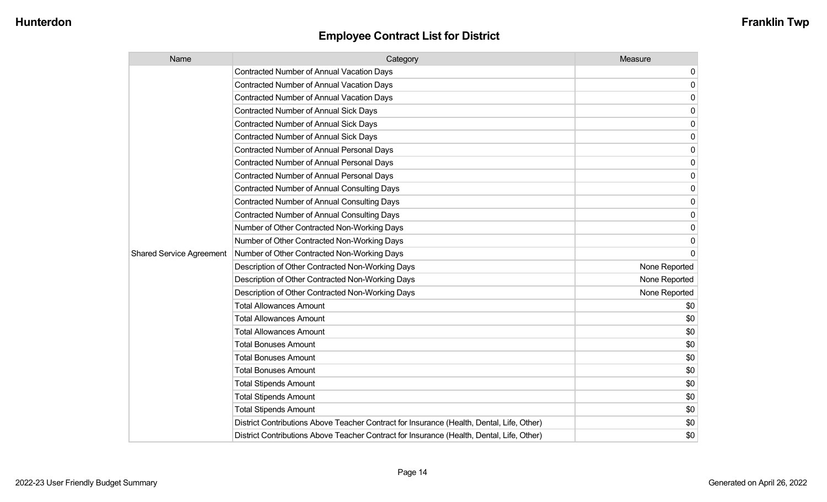| Name                            | Category                                                                                  | Measure       |
|---------------------------------|-------------------------------------------------------------------------------------------|---------------|
|                                 | Contracted Number of Annual Vacation Days                                                 | 0             |
|                                 | <b>Contracted Number of Annual Vacation Days</b>                                          | 0             |
|                                 | <b>Contracted Number of Annual Vacation Days</b>                                          | 0             |
|                                 | <b>Contracted Number of Annual Sick Days</b>                                              | $\Omega$      |
|                                 | <b>Contracted Number of Annual Sick Days</b>                                              | 0             |
|                                 | <b>Contracted Number of Annual Sick Days</b>                                              | 0             |
|                                 | <b>Contracted Number of Annual Personal Days</b>                                          | 0             |
|                                 | <b>Contracted Number of Annual Personal Days</b>                                          | 0             |
|                                 | <b>Contracted Number of Annual Personal Days</b>                                          | 0             |
|                                 | <b>Contracted Number of Annual Consulting Days</b>                                        | $\mathbf{0}$  |
|                                 | <b>Contracted Number of Annual Consulting Days</b>                                        | 0             |
|                                 | <b>Contracted Number of Annual Consulting Days</b>                                        | 0             |
|                                 | Number of Other Contracted Non-Working Days                                               | 0             |
|                                 | Number of Other Contracted Non-Working Days                                               | $\mathbf{0}$  |
| <b>Shared Service Agreement</b> | Number of Other Contracted Non-Working Days                                               | $\Omega$      |
|                                 | Description of Other Contracted Non-Working Days                                          | None Reported |
|                                 | Description of Other Contracted Non-Working Days                                          | None Reported |
|                                 | Description of Other Contracted Non-Working Days                                          | None Reported |
|                                 | <b>Total Allowances Amount</b>                                                            | \$0           |
|                                 | <b>Total Allowances Amount</b>                                                            | \$0           |
|                                 | <b>Total Allowances Amount</b>                                                            | \$0           |
|                                 | <b>Total Bonuses Amount</b>                                                               | \$0           |
|                                 | <b>Total Bonuses Amount</b>                                                               | \$0           |
|                                 | <b>Total Bonuses Amount</b>                                                               | \$0           |
|                                 | <b>Total Stipends Amount</b>                                                              | \$0           |
|                                 | <b>Total Stipends Amount</b>                                                              | \$0           |
|                                 | <b>Total Stipends Amount</b>                                                              | \$0           |
|                                 | District Contributions Above Teacher Contract for Insurance (Health, Dental, Life, Other) | \$0           |
|                                 | District Contributions Above Teacher Contract for Insurance (Health, Dental, Life, Other) | \$0           |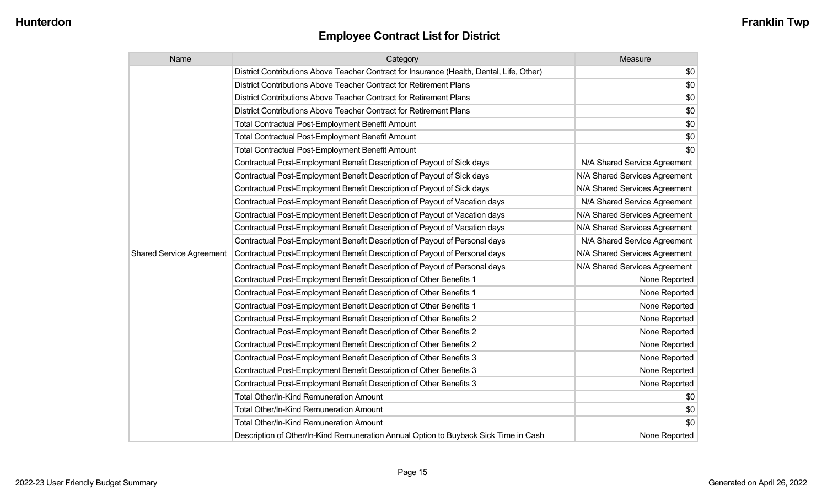| Name                            | Category                                                                                  | Measure                       |
|---------------------------------|-------------------------------------------------------------------------------------------|-------------------------------|
|                                 | District Contributions Above Teacher Contract for Insurance (Health, Dental, Life, Other) | \$0                           |
|                                 | District Contributions Above Teacher Contract for Retirement Plans                        | \$0                           |
|                                 | District Contributions Above Teacher Contract for Retirement Plans                        | \$0                           |
|                                 | District Contributions Above Teacher Contract for Retirement Plans                        | \$0                           |
|                                 | <b>Total Contractual Post-Employment Benefit Amount</b>                                   | \$0                           |
|                                 | <b>Total Contractual Post-Employment Benefit Amount</b>                                   | \$0                           |
|                                 | <b>Total Contractual Post-Employment Benefit Amount</b>                                   | \$0                           |
|                                 | Contractual Post-Employment Benefit Description of Payout of Sick days                    | N/A Shared Service Agreement  |
|                                 | Contractual Post-Employment Benefit Description of Payout of Sick days                    | N/A Shared Services Agreement |
|                                 | Contractual Post-Employment Benefit Description of Payout of Sick days                    | N/A Shared Services Agreement |
|                                 | Contractual Post-Employment Benefit Description of Payout of Vacation days                | N/A Shared Service Agreement  |
|                                 | Contractual Post-Employment Benefit Description of Payout of Vacation days                | N/A Shared Services Agreement |
|                                 | Contractual Post-Employment Benefit Description of Payout of Vacation days                | N/A Shared Services Agreement |
|                                 | Contractual Post-Employment Benefit Description of Payout of Personal days                | N/A Shared Service Agreement  |
| <b>Shared Service Agreement</b> | Contractual Post-Employment Benefit Description of Payout of Personal days                | N/A Shared Services Agreement |
|                                 | Contractual Post-Employment Benefit Description of Payout of Personal days                | N/A Shared Services Agreement |
|                                 | Contractual Post-Employment Benefit Description of Other Benefits 1                       | None Reported                 |
|                                 | Contractual Post-Employment Benefit Description of Other Benefits 1                       | None Reported                 |
|                                 | Contractual Post-Employment Benefit Description of Other Benefits 1                       | None Reported                 |
|                                 | Contractual Post-Employment Benefit Description of Other Benefits 2                       | None Reported                 |
|                                 | Contractual Post-Employment Benefit Description of Other Benefits 2                       | None Reported                 |
|                                 | Contractual Post-Employment Benefit Description of Other Benefits 2                       | None Reported                 |
|                                 | Contractual Post-Employment Benefit Description of Other Benefits 3                       | None Reported                 |
|                                 | Contractual Post-Employment Benefit Description of Other Benefits 3                       | None Reported                 |
|                                 | Contractual Post-Employment Benefit Description of Other Benefits 3                       | None Reported                 |
|                                 | <b>Total Other/In-Kind Remuneration Amount</b>                                            | \$0                           |
|                                 | <b>Total Other/In-Kind Remuneration Amount</b>                                            | \$0                           |
|                                 | <b>Total Other/In-Kind Remuneration Amount</b>                                            | \$0                           |
|                                 | Description of Other/In-Kind Remuneration Annual Option to Buyback Sick Time in Cash      | None Reported                 |